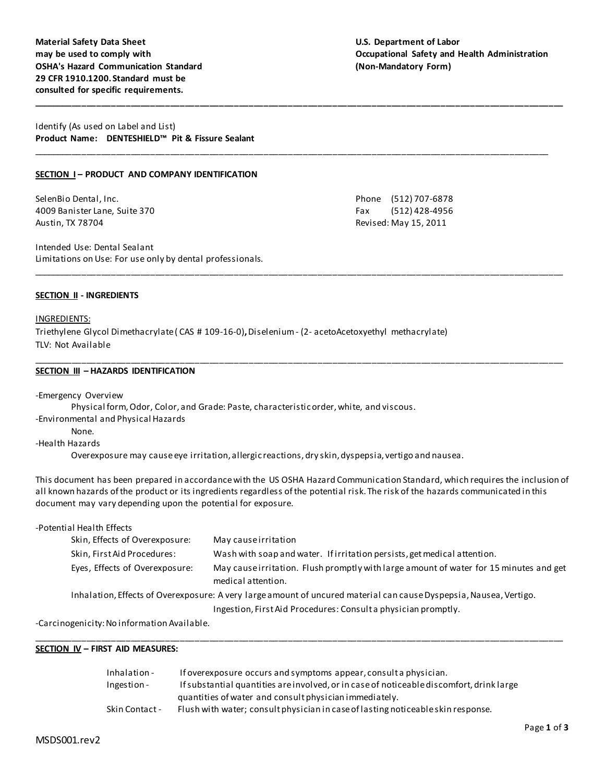**Material Safety Data Sheet U.S. Department of Labor OSHA's Hazard Communication Standard (Non-Mandatory Form) 29 CFR 1910.1200. Standard must be consulted for specific requirements.**

# **may be used to comply with Occupational Safety and Health Administration**

Identify (As used on Label and List) **Product Name: DENTESHIELD™ Pit & Fissure Sealant**

## **SECTION I – PRODUCT AND COMPANY IDENTIFICATION**

SelenBio Dental, Inc. 2008 2012 12:00:00 Phone (512) 707-6878 4009 Banister Lane, Suite 370 Fax (512) 428-4956 Austin, TX 78704 **Revised: May 15, 2011** 

Intended Use: Dental Sealant Limitations on Use: For use only by dental professionals.

#### **SECTION II - INGREDIENTS**

# INGREDIENTS:

Triethylene Glycol Dimethacrylate ( CAS # 109-16-0)**,** Diselenium - (2- acetoAcetoxyethyl methacrylate) TLV: Not Available

#### **SECTION III – HAZARDS IDENTIFICATION**

-Emergency Overview Physical form, Odor, Color, and Grade: Paste, characteristic order, white, and viscous. -Environmental and Physical Hazards None. -Health Hazards

Overexposure may cause eye irritation, allergic reactions, dry skin, dyspepsia, vertigo and nausea.

This document has been prepared in accordance with the US OSHA Hazard Communication Standard, which requires the inclusion of all known hazards of the product or its ingredients regardless of the potential risk. The risk of the hazards communicated in this document may vary depending upon the potential for exposure.

**\_\_\_\_\_\_\_\_\_\_\_\_\_\_\_\_\_\_\_\_\_\_\_\_\_\_\_\_\_\_\_\_\_\_\_\_\_\_\_\_\_\_\_\_\_\_\_\_\_\_\_\_\_\_\_\_\_\_\_\_\_\_\_\_\_\_\_\_\_\_\_\_\_\_\_\_\_\_\_\_\_\_\_\_\_\_\_\_\_\_\_\_\_\_\_\_\_\_\_\_\_\_\_\_\_\_\_\_**

\_\_\_\_\_\_\_\_\_\_\_\_\_\_\_\_\_\_\_\_\_\_\_\_\_\_\_\_\_\_\_\_\_\_\_\_\_\_\_\_\_\_\_\_\_\_\_\_\_\_\_\_\_\_\_\_\_\_\_\_\_\_\_\_\_\_\_\_\_\_\_\_\_\_\_\_\_\_\_\_\_\_\_\_\_\_\_\_\_\_\_\_\_\_\_\_\_\_\_\_\_\_\_\_\_

\_\_\_\_\_\_\_\_\_\_\_\_\_\_\_\_\_\_\_\_\_\_\_\_\_\_\_\_\_\_\_\_\_\_\_\_\_\_\_\_\_\_\_\_\_\_\_\_\_\_\_\_\_\_\_\_\_\_\_\_\_\_\_\_\_\_\_\_\_\_\_\_\_\_\_\_\_\_\_\_\_\_\_\_\_\_\_\_\_\_\_\_\_\_\_\_\_\_\_\_\_\_\_\_\_\_\_\_

\_\_\_\_\_\_\_\_\_\_\_\_\_\_\_\_\_\_\_\_\_\_\_\_\_\_\_\_\_\_\_\_\_\_\_\_\_\_\_\_\_\_\_\_\_\_\_\_\_\_\_\_\_\_\_\_\_\_\_\_\_\_\_\_\_\_\_\_\_\_\_\_\_\_\_\_\_\_\_\_\_\_\_\_\_\_\_\_\_\_\_\_\_\_\_\_\_\_\_\_\_\_\_\_\_\_\_\_

| -Potential Health Effects      |                                                                                                                    |
|--------------------------------|--------------------------------------------------------------------------------------------------------------------|
| Skin, Effects of Overexposure: | May cause irritation                                                                                               |
| Skin, First Aid Procedures:    | Wash with soap and water. If irritation persists, get medical attention.                                           |
| Eyes, Effects of Overexposure: | May cause irritation. Flush promptly with large amount of water for 15 minutes and get<br>medical attention.       |
|                                | Inhalation, Effects of Overexposure: A very large amount of uncured material can cause Dyspepsia, Nausea, Vertigo. |
|                                | Ingestion, First Aid Procedures: Consult a physician promptly.                                                     |

\_\_\_\_\_\_\_\_\_\_\_\_\_\_\_\_\_\_\_\_\_\_\_\_\_\_\_\_\_\_\_\_\_\_\_\_\_\_\_\_\_\_\_\_\_\_\_\_\_\_\_\_\_\_\_\_\_\_\_\_\_\_\_\_\_\_\_\_\_\_\_\_\_\_\_\_\_\_\_\_\_\_\_\_\_\_\_\_\_\_\_\_\_\_\_\_\_\_\_\_\_\_\_\_\_\_\_\_

-Carcinogenicity: No information Available.

#### **SECTION IV – FIRST AID MEASURES:**

| Inhalation -   | If overexposure occurs and symptoms appear, consult a physician.                         |
|----------------|------------------------------------------------------------------------------------------|
| Ingestion -    | If substantial quantities are involved, or in case of noticeable discomfort, drink large |
|                | quantities of water and consult physician immediately.                                   |
| Skin Contact - | Flush with water; consult physician in case of lasting noticeable skin response.         |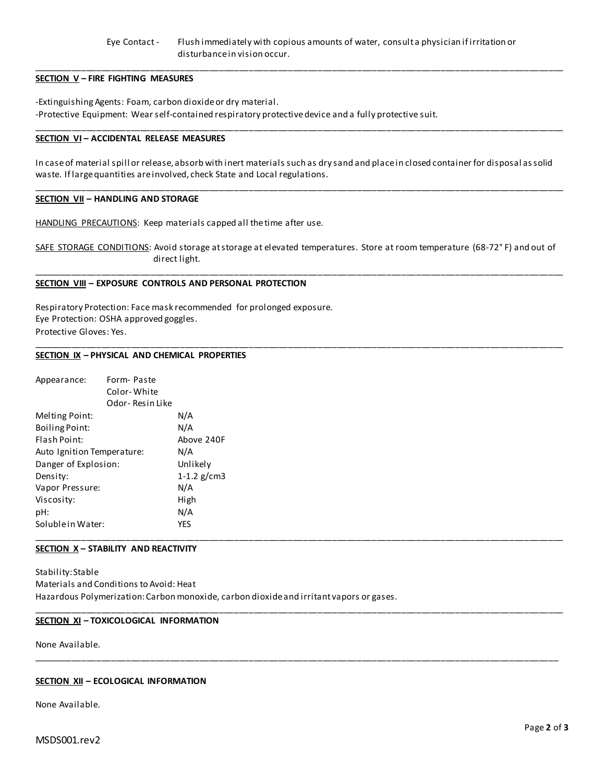# Eye Contact - Flush immediately with copious amounts of water, consult a physician if irritation or disturbance in vision occur.

\_\_\_\_\_\_\_\_\_\_\_\_\_\_\_\_\_\_\_\_\_\_\_\_\_\_\_\_\_\_\_\_\_\_\_\_\_\_\_\_\_\_\_\_\_\_\_\_\_\_\_\_\_\_\_\_\_\_\_\_\_\_\_\_\_\_\_\_\_\_\_\_\_\_\_\_\_\_\_\_\_\_\_\_\_\_\_\_\_\_\_\_\_\_\_\_\_\_\_\_\_\_\_\_\_\_\_\_

\_\_\_\_\_\_\_\_\_\_\_\_\_\_\_\_\_\_\_\_\_\_\_\_\_\_\_\_\_\_\_\_\_\_\_\_\_\_\_\_\_\_\_\_\_\_\_\_\_\_\_\_\_\_\_\_\_\_\_\_\_\_\_\_\_\_\_\_\_\_\_\_\_\_\_\_\_\_\_\_\_\_\_\_\_\_\_\_\_\_\_\_\_\_\_\_\_\_\_\_\_\_\_\_\_\_\_\_

# **SECTION V – FIRE FIGHTING MEASURES**

-Extinguishing Agents: Foam, carbon dioxide or dry material. -Protective Equipment: Wear self-contained respiratory protective device and a fully protective suit.

### **SECTION VI – ACCIDENTAL RELEASE MEASURES**

In case of material spill or release, absorb with inert materials such as dry sand and place in closed container for disposal as solid waste. If large quantities are involved, check State and Local regulations.

\_\_\_\_\_\_\_\_\_\_\_\_\_\_\_\_\_\_\_\_\_\_\_\_\_\_\_\_\_\_\_\_\_\_\_\_\_\_\_\_\_\_\_\_\_\_\_\_\_\_\_\_\_\_\_\_\_\_\_\_\_\_\_\_\_\_\_\_\_\_\_\_\_\_\_\_\_\_\_\_\_\_\_\_\_\_\_\_\_\_\_\_\_\_\_\_\_\_\_\_\_\_\_\_\_\_\_\_

## **SECTION VII – HANDLING AND STORAGE**

HANDLING PRECAUTIONS: Keep materials capped all the time after use.

SAFE STORAGE CONDITIONS: Avoid storage at storage at elevated temperatures. Store at room temperature (68-72°F) and out of direct light.

\_\_\_\_\_\_\_\_\_\_\_\_\_\_\_\_\_\_\_\_\_\_\_\_\_\_\_\_\_\_\_\_\_\_\_\_\_\_\_\_\_\_\_\_\_\_\_\_\_\_\_\_\_\_\_\_\_\_\_\_\_\_\_\_\_\_\_\_\_\_\_\_\_\_\_\_\_\_\_\_\_\_\_\_\_\_\_\_\_\_\_\_\_\_\_\_\_\_\_\_\_\_\_\_\_\_\_\_

\_\_\_\_\_\_\_\_\_\_\_\_\_\_\_\_\_\_\_\_\_\_\_\_\_\_\_\_\_\_\_\_\_\_\_\_\_\_\_\_\_\_\_\_\_\_\_\_\_\_\_\_\_\_\_\_\_\_\_\_\_\_\_\_\_\_\_\_\_\_\_\_\_\_\_\_\_\_\_\_\_\_\_\_\_\_\_\_\_\_\_\_\_\_\_\_\_\_\_\_\_\_\_\_\_\_\_\_

\_\_\_\_\_\_\_\_\_\_\_\_\_\_\_\_\_\_\_\_\_\_\_\_\_\_\_\_\_\_\_\_\_\_\_\_\_\_\_\_\_\_\_\_\_\_\_\_\_\_\_\_\_\_\_\_\_\_\_\_\_\_\_\_\_\_\_\_\_\_\_\_\_\_\_\_\_\_\_\_\_\_\_\_\_\_\_\_\_\_\_\_\_\_\_\_\_\_\_\_\_\_\_\_\_\_\_\_

\_\_\_\_\_\_\_\_\_\_\_\_\_\_\_\_\_\_\_\_\_\_\_\_\_\_\_\_\_\_\_\_\_\_\_\_\_\_\_\_\_\_\_\_\_\_\_\_\_\_\_\_\_\_\_\_\_\_\_\_\_\_\_\_\_\_\_\_\_\_\_\_\_\_\_\_\_\_\_\_\_\_\_\_\_\_\_\_\_\_\_\_\_\_\_\_\_\_\_\_\_\_\_\_\_\_\_

### **SECTION VIII – EXPOSURE CONTROLS AND PERSONAL PROTECTION**

Respiratory Protection: Face mask recommended for prolonged exposure. Eye Protection: OSHA approved goggles. Protective Gloves: Yes.

#### **SECTION IX – PHYSICAL AND CHEMICAL PROPERTIES**

| Appearance:                | Form-Paste  |               |  |  |
|----------------------------|-------------|---------------|--|--|
|                            | Color-White |               |  |  |
| Odor-Resin Like            |             |               |  |  |
| Melting Point:             |             | N/A           |  |  |
| <b>Boiling Point:</b>      |             | N/A           |  |  |
| Flash Point:               |             | Above 240F    |  |  |
| Auto Ignition Temperature: |             | N/A           |  |  |
| Danger of Explosion:       |             | Unlikely      |  |  |
| Density:                   |             | 1-1.2 $g/cm3$ |  |  |
| Vapor Pressure:            |             | N/A           |  |  |
| Viscosity:                 |             | High          |  |  |
| pH:                        |             | N/A           |  |  |
| Soluble in Water:          |             | <b>YES</b>    |  |  |
|                            |             |               |  |  |

# **SECTION X – STABILITY AND REACTIVITY**

Stability: Stable Materials and Conditions to Avoid: Heat Hazardous Polymerization: Carbon monoxide, carbon dioxide and irritant vapors or gases.

#### **SECTION XI – TOXICOLOGICAL INFORMATION**

None Available.

#### **SECTION XII – ECOLOGICAL INFORMATION**

None Available.